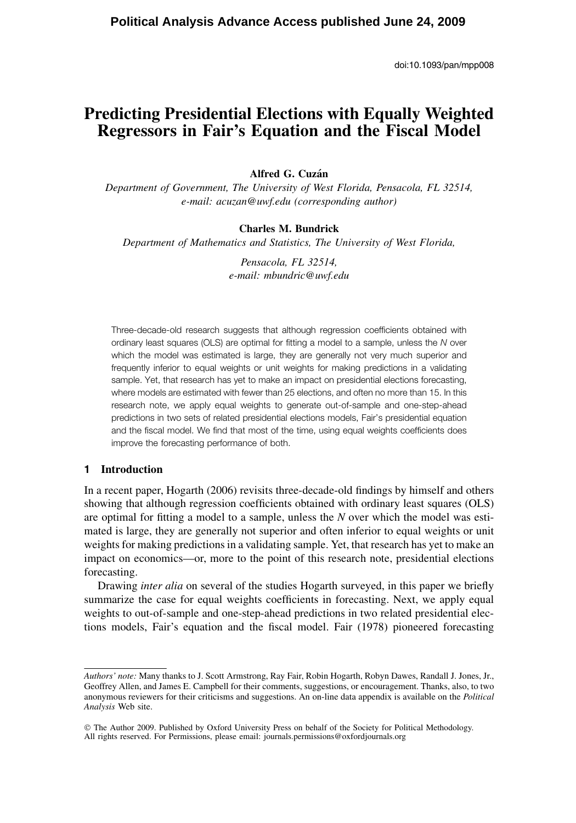# Predicting Presidential Elections with Equally Weighted Regressors in Fair's Equation and the Fiscal Model

## Alfred G. Cuzán

Department of Government, The University of West Florida, Pensacola, FL 32514, e-mail: acuzan@uwf.edu (corresponding author)

# Charles M. Bundrick

Department of Mathematics and Statistics, The University of West Florida,

Pensacola, FL 32514, e-mail: mbundric@uwf.edu

Three-decade-old research suggests that although regression coefficients obtained with ordinary least squares (OLS) are optimal for fitting a model to a sample, unless the *N* over which the model was estimated is large, they are generally not very much superior and frequently inferior to equal weights or unit weights for making predictions in a validating sample. Yet, that research has yet to make an impact on presidential elections forecasting, where models are estimated with fewer than 25 elections, and often no more than 15. In this research note, we apply equal weights to generate out-of-sample and one-step-ahead predictions in two sets of related presidential elections models, Fair's presidential equation and the fiscal model. We find that most of the time, using equal weights coefficients does improve the forecasting performance of both.

## 1 Introduction

In a recent paper, Hogarth (2006) revisits three-decade-old findings by himself and others showing that although regression coefficients obtained with ordinary least squares (OLS) are optimal for fitting a model to a sample, unless the  $N$  over which the model was estimated is large, they are generally not superior and often inferior to equal weights or unit weights for making predictions in a validating sample. Yet, that research has yet to make an impact on economics—or, more to the point of this research note, presidential elections forecasting.

Drawing *inter alia* on several of the studies Hogarth surveyed, in this paper we briefly summarize the case for equal weights coefficients in forecasting. Next, we apply equal weights to out-of-sample and one-step-ahead predictions in two related presidential elections models, Fair's equation and the fiscal model. Fair (1978) pioneered forecasting

Authors' note: Many thanks to J. Scott Armstrong, Ray Fair, Robin Hogarth, Robyn Dawes, Randall J. Jones, Jr., Geoffrey Allen, and James E. Campbell for their comments, suggestions, or encouragement. Thanks, also, to two anonymous reviewers for their criticisms and suggestions. An on-line data appendix is available on the *Political* Analysis Web site.

The Author 2009. Published by Oxford University Press on behalf of the Society for Political Methodology. All rights reserved. For Permissions, please email: journals.permissions@oxfordjournals.org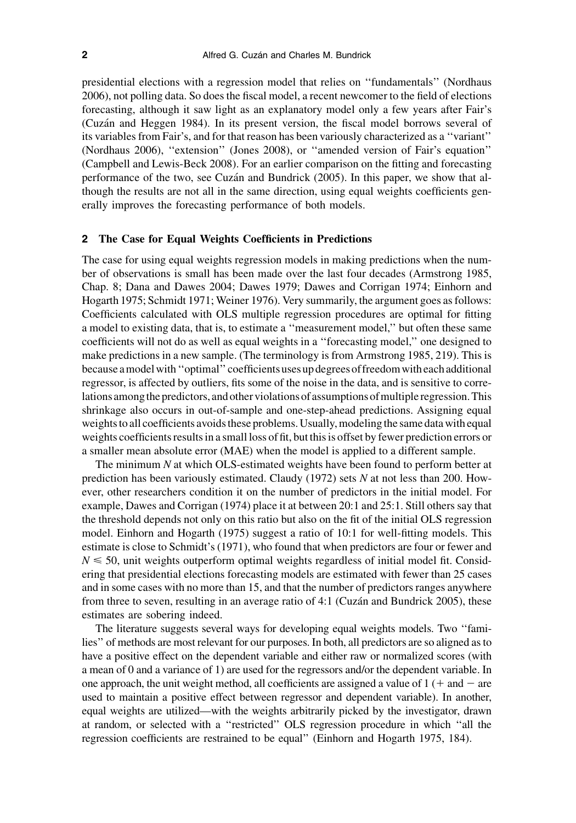presidential elections with a regression model that relies on ''fundamentals'' (Nordhaus 2006), not polling data. So does the fiscal model, a recent newcomer to the field of elections forecasting, although it saw light as an explanatory model only a few years after Fair's (Cuza´n and Heggen 1984). In its present version, the fiscal model borrows several of its variables from Fair's, and for that reason has been variously characterized as a ''variant'' (Nordhaus 2006), ''extension'' (Jones 2008), or ''amended version of Fair's equation'' (Campbell and Lewis-Beck 2008). For an earlier comparison on the fitting and forecasting performance of the two, see Cuzan and Bundrick (2005). In this paper, we show that although the results are not all in the same direction, using equal weights coefficients generally improves the forecasting performance of both models.

#### 2 The Case for Equal Weights Coefficients in Predictions

The case for using equal weights regression models in making predictions when the number of observations is small has been made over the last four decades (Armstrong 1985, Chap. 8; Dana and Dawes 2004; Dawes 1979; Dawes and Corrigan 1974; Einhorn and Hogarth 1975; Schmidt 1971; Weiner 1976). Very summarily, the argument goes as follows: Coefficients calculated with OLS multiple regression procedures are optimal for fitting a model to existing data, that is, to estimate a ''measurement model,'' but often these same coefficients will not do as well as equal weights in a ''forecasting model,'' one designed to make predictions in a new sample. (The terminology is from Armstrong 1985, 219). This is because amodel with ''optimal'' coefficients uses up degrees of freedom with each additional regressor, is affected by outliers, fits some of the noise in the data, and is sensitive to correlations among the predictors, and other violations of assumptions of multiple regression. This shrinkage also occurs in out-of-sample and one-step-ahead predictions. Assigning equal weights to all coefficients avoids these problems. Usually, modeling the same data with equal weights coefficients results in a small loss of fit, but this is offset by fewer prediction errors or a smaller mean absolute error (MAE) when the model is applied to a different sample.

The minimum  $N$  at which OLS-estimated weights have been found to perform better at prediction has been variously estimated. Claudy (1972) sets  $N$  at not less than 200. However, other researchers condition it on the number of predictors in the initial model. For example, Dawes and Corrigan (1974) place it at between 20:1 and 25:1. Still others say that the threshold depends not only on this ratio but also on the fit of the initial OLS regression model. Einhorn and Hogarth (1975) suggest a ratio of 10:1 for well-fitting models. This estimate is close to Schmidt's (1971), who found that when predictors are four or fewer and  $N \le 50$ , unit weights outperform optimal weights regardless of initial model fit. Considering that presidential elections forecasting models are estimated with fewer than 25 cases and in some cases with no more than 15, and that the number of predictors ranges anywhere from three to seven, resulting in an average ratio of 4:1 (Cuzan and Bundrick 2005), these estimates are sobering indeed.

The literature suggests several ways for developing equal weights models. Two ''families'' of methods are most relevant for our purposes. In both, all predictors are so aligned as to have a positive effect on the dependent variable and either raw or normalized scores (with a mean of 0 and a variance of 1) are used for the regressors and/or the dependent variable. In one approach, the unit weight method, all coefficients are assigned a value of  $1 (+ \text{ and } - \text{ are})$ used to maintain a positive effect between regressor and dependent variable). In another, equal weights are utilized—with the weights arbitrarily picked by the investigator, drawn at random, or selected with a ''restricted'' OLS regression procedure in which ''all the regression coefficients are restrained to be equal'' (Einhorn and Hogarth 1975, 184).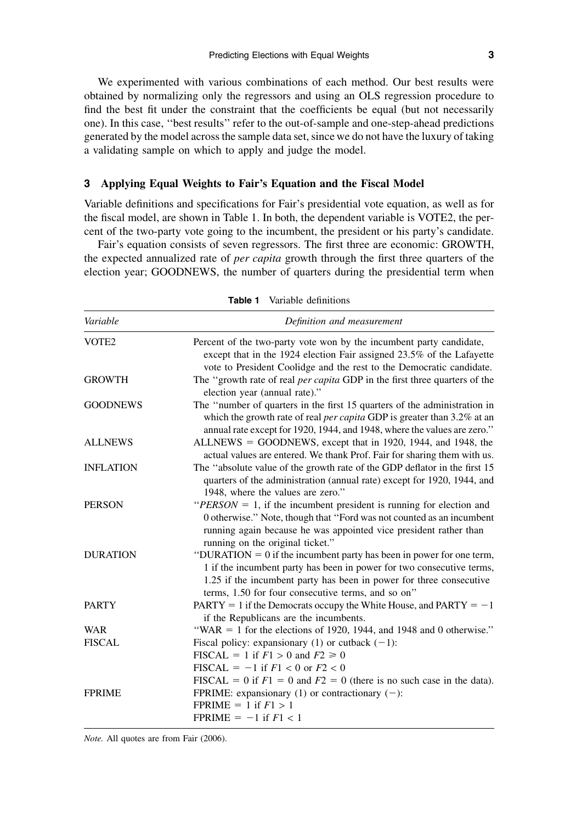We experimented with various combinations of each method. Our best results were obtained by normalizing only the regressors and using an OLS regression procedure to find the best fit under the constraint that the coefficients be equal (but not necessarily one). In this case, ''best results'' refer to the out-of-sample and one-step-ahead predictions generated by the model across the sample data set, since we do not have the luxury of taking a validating sample on which to apply and judge the model.

#### 3 Applying Equal Weights to Fair's Equation and the Fiscal Model

Variable definitions and specifications for Fair's presidential vote equation, as well as for the fiscal model, are shown in Table 1. In both, the dependent variable is VOTE2, the percent of the two-party vote going to the incumbent, the president or his party's candidate.

Fair's equation consists of seven regressors. The first three are economic: GROWTH, the expected annualized rate of per capita growth through the first three quarters of the election year; GOODNEWS, the number of quarters during the presidential term when

| Variable          | Definition and measurement                                                                                                                                                                                                                                                   |
|-------------------|------------------------------------------------------------------------------------------------------------------------------------------------------------------------------------------------------------------------------------------------------------------------------|
| VOTE <sub>2</sub> | Percent of the two-party vote won by the incumbent party candidate,<br>except that in the 1924 election Fair assigned 23.5% of the Lafayette<br>vote to President Coolidge and the rest to the Democratic candidate.                                                         |
| <b>GROWTH</b>     | The "growth rate of real <i>per capita</i> GDP in the first three quarters of the<br>election year (annual rate)."                                                                                                                                                           |
| <b>GOODNEWS</b>   | The "number of quarters in the first 15 quarters of the administration in<br>which the growth rate of real <i>per capita</i> GDP is greater than 3.2% at an<br>annual rate except for 1920, 1944, and 1948, where the values are zero."                                      |
| <b>ALLNEWS</b>    | ALLNEWS = GOODNEWS, except that in 1920, 1944, and 1948, the<br>actual values are entered. We thank Prof. Fair for sharing them with us.                                                                                                                                     |
| <b>INFLATION</b>  | The "absolute value of the growth rate of the GDP deflator in the first 15<br>quarters of the administration (annual rate) except for 1920, 1944, and<br>1948, where the values are zero."                                                                                   |
| <b>PERSON</b>     | " $PERSON = 1$ , if the incumbent president is running for election and<br>0 otherwise." Note, though that "Ford was not counted as an incumbent<br>running again because he was appointed vice president rather than<br>running on the original ticket."                    |
| <b>DURATION</b>   | "DURATION $= 0$ if the incumbent party has been in power for one term,<br>1 if the incumbent party has been in power for two consecutive terms,<br>1.25 if the incumbent party has been in power for three consecutive<br>terms, 1.50 for four consecutive terms, and so on" |
| <b>PARTY</b>      | PARTY = 1 if the Democrats occupy the White House, and PARTY = $-1$<br>if the Republicans are the incumbents.                                                                                                                                                                |
| <b>WAR</b>        | "WAR = 1 for the elections of 1920, 1944, and 1948 and 0 otherwise."                                                                                                                                                                                                         |
| <b>FISCAL</b>     | Fiscal policy: expansionary (1) or cutback $(-1)$ :<br>FISCAL = 1 if $F1 > 0$ and $F2 \ge 0$<br>$FISCAL = -1$ if $F1 < 0$ or $F2 < 0$<br>FISCAL = 0 if $F1 = 0$ and $F2 = 0$ (there is no such case in the data).                                                            |
| <b>FPRIME</b>     | FPRIME: expansionary (1) or contractionary $(-)$ :<br>FPRIME = 1 if $F1 > 1$<br>FPRIME $= -1$ if $F1 < 1$                                                                                                                                                                    |

Table 1 Variable definitions

Note. All quotes are from Fair (2006).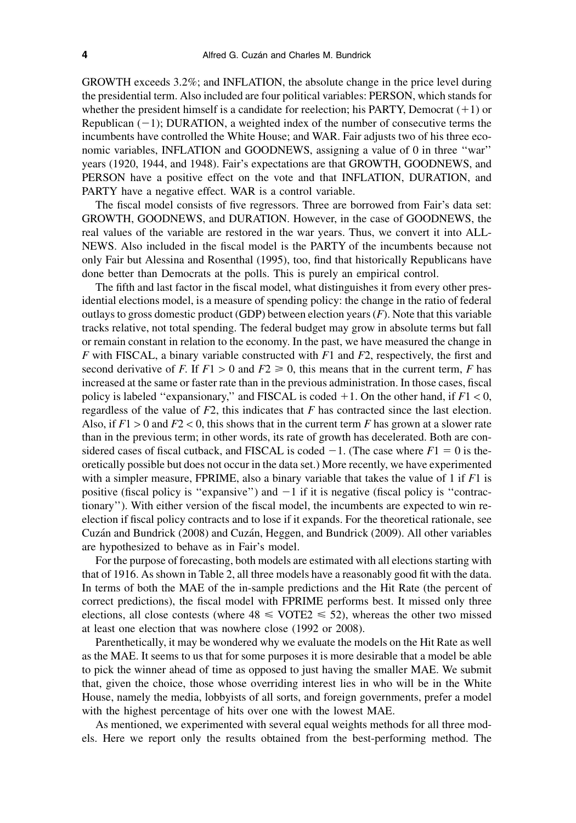GROWTH exceeds 3.2%; and INFLATION, the absolute change in the price level during the presidential term. Also included are four political variables: PERSON, which stands for whether the president himself is a candidate for reelection; his PARTY, Democrat  $(+1)$  or Republican  $(-1)$ ; DURATION, a weighted index of the number of consecutive terms the incumbents have controlled the White House; and WAR. Fair adjusts two of his three economic variables, INFLATION and GOODNEWS, assigning a value of 0 in three ''war'' years (1920, 1944, and 1948). Fair's expectations are that GROWTH, GOODNEWS, and PERSON have a positive effect on the vote and that INFLATION, DURATION, and PARTY have a negative effect. WAR is a control variable.

The fiscal model consists of five regressors. Three are borrowed from Fair's data set: GROWTH, GOODNEWS, and DURATION. However, in the case of GOODNEWS, the real values of the variable are restored in the war years. Thus, we convert it into ALL-NEWS. Also included in the fiscal model is the PARTY of the incumbents because not only Fair but Alessina and Rosenthal (1995), too, find that historically Republicans have done better than Democrats at the polls. This is purely an empirical control.

The fifth and last factor in the fiscal model, what distinguishes it from every other presidential elections model, is a measure of spending policy: the change in the ratio of federal outlays to gross domestic product (GDP) between election years  $(F)$ . Note that this variable tracks relative, not total spending. The federal budget may grow in absolute terms but fall or remain constant in relation to the economy. In the past, we have measured the change in  $F$  with FISCAL, a binary variable constructed with  $F1$  and  $F2$ , respectively, the first and second derivative of F. If  $F1 > 0$  and  $F2 \ge 0$ , this means that in the current term, F has increased at the same or faster rate than in the previous administration. In those cases, fiscal policy is labeled "expansionary," and FISCAL is coded  $+1$ . On the other hand, if  $F1 < 0$ , regardless of the value of  $F2$ , this indicates that F has contracted since the last election. Also, if  $F1 > 0$  and  $F2 < 0$ , this shows that in the current term F has grown at a slower rate than in the previous term; in other words, its rate of growth has decelerated. Both are considered cases of fiscal cutback, and FISCAL is coded  $-1$ . (The case where  $F1 = 0$  is theoretically possible but does not occur in the data set.) More recently, we have experimented with a simpler measure, FPRIME, also a binary variable that takes the value of 1 if  $F1$  is positive (fiscal policy is "expansive") and  $-1$  if it is negative (fiscal policy is "contractionary''). With either version of the fiscal model, the incumbents are expected to win reelection if fiscal policy contracts and to lose if it expands. For the theoretical rationale, see Cuzán and Bundrick (2008) and Cuzán, Heggen, and Bundrick (2009). All other variables are hypothesized to behave as in Fair's model.

For the purpose of forecasting, both models are estimated with all elections starting with that of 1916. As shown in Table 2, all three models have a reasonably good fit with the data. In terms of both the MAE of the in-sample predictions and the Hit Rate (the percent of correct predictions), the fiscal model with FPRIME performs best. It missed only three elections, all close contests (where  $48 \leq$  VOTE2  $\leq$  52), whereas the other two missed at least one election that was nowhere close (1992 or 2008).

Parenthetically, it may be wondered why we evaluate the models on the Hit Rate as well as the MAE. It seems to us that for some purposes it is more desirable that a model be able to pick the winner ahead of time as opposed to just having the smaller MAE. We submit that, given the choice, those whose overriding interest lies in who will be in the White House, namely the media, lobbyists of all sorts, and foreign governments, prefer a model with the highest percentage of hits over one with the lowest MAE.

As mentioned, we experimented with several equal weights methods for all three models. Here we report only the results obtained from the best-performing method. The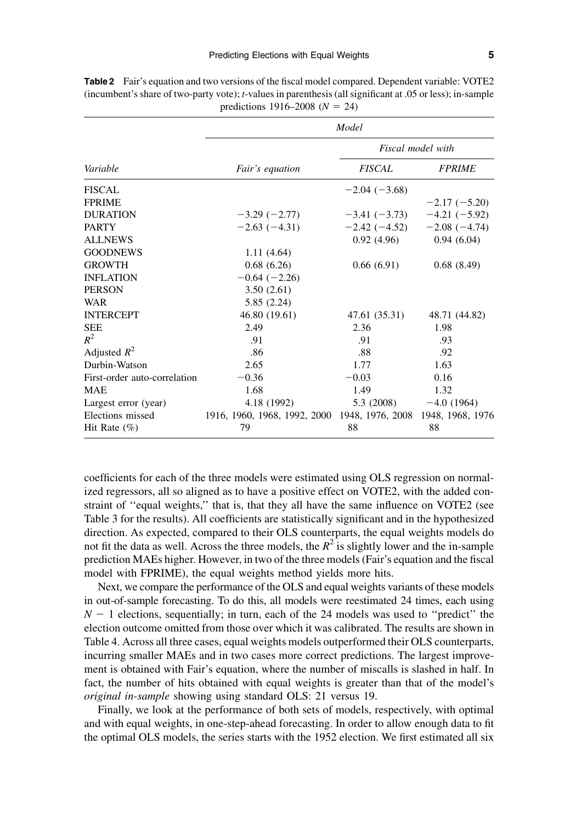|                              | Model                        |                   |                  |  |  |
|------------------------------|------------------------------|-------------------|------------------|--|--|
|                              |                              | Fiscal model with |                  |  |  |
| Variable                     | Fair's equation              | <b>FISCAL</b>     | <b>FPRIME</b>    |  |  |
| <b>FISCAL</b>                |                              | $-2.04(-3.68)$    |                  |  |  |
| <b>FPRIME</b>                |                              |                   | $-2.17(-5.20)$   |  |  |
| <b>DURATION</b>              | $-3.29(-2.77)$               | $-3.41(-3.73)$    | $-4.21(-5.92)$   |  |  |
| <b>PARTY</b>                 | $-2.63(-4.31)$               | $-2.42(-4.52)$    | $-2.08(-4.74)$   |  |  |
| <b>ALLNEWS</b>               |                              | 0.92(4.96)        | 0.94(6.04)       |  |  |
| <b>GOODNEWS</b>              | 1.11(4.64)                   |                   |                  |  |  |
| <b>GROWTH</b>                | 0.68(6.26)                   | 0.66(6.91)        | 0.68(8.49)       |  |  |
| <b>INFLATION</b>             | $-0.64(-2.26)$               |                   |                  |  |  |
| <b>PERSON</b>                | 3.50(2.61)                   |                   |                  |  |  |
| <b>WAR</b>                   | 5.85(2.24)                   |                   |                  |  |  |
| <b>INTERCEPT</b>             | 46.80 (19.61)                | 47.61 (35.31)     | 48.71 (44.82)    |  |  |
| <b>SEE</b>                   | 2.49                         | 2.36              | 1.98             |  |  |
| $R^2$                        | .91                          | .91               | .93              |  |  |
| Adjusted $R^2$               | .86                          | .88               | .92              |  |  |
| Durbin-Watson                | 2.65                         | 1.77              | 1.63             |  |  |
| First-order auto-correlation | $-0.36$                      | $-0.03$           | 0.16             |  |  |
| <b>MAE</b>                   | 1.68                         | 1.49              | 1.32             |  |  |
| Largest error (year)         | 4.18 (1992)                  | 5.3 (2008)        | $-4.0(1964)$     |  |  |
| Elections missed             | 1916, 1960, 1968, 1992, 2000 | 1948, 1976, 2008  | 1948, 1968, 1976 |  |  |
| Hit Rate $(\%)$              | 79                           | 88                | 88               |  |  |

Table 2 Fair's equation and two versions of the fiscal model compared. Dependent variable: VOTE2 (incumbent's share of two-party vote); t-values in parenthesis (all significant at .05 or less); in-sample predictions 1916–2008 ( $N = 24$ )

coefficients for each of the three models were estimated using OLS regression on normalized regressors, all so aligned as to have a positive effect on VOTE2, with the added constraint of ''equal weights,'' that is, that they all have the same influence on VOTE2 (see Table 3 for the results). All coefficients are statistically significant and in the hypothesized direction. As expected, compared to their OLS counterparts, the equal weights models do not fit the data as well. Across the three models, the  $R^2$  is slightly lower and the in-sample prediction MAEs higher. However, in two of the three models (Fair's equation and the fiscal model with FPRIME), the equal weights method yields more hits.

Next, we compare the performance of the OLS and equal weights variants of these models in out-of-sample forecasting. To do this, all models were reestimated 24 times, each using  $N-1$  elections, sequentially; in turn, each of the 24 models was used to "predict" the election outcome omitted from those over which it was calibrated. The results are shown in Table 4. Across all three cases, equal weights models outperformed their OLS counterparts, incurring smaller MAEs and in two cases more correct predictions. The largest improvement is obtained with Fair's equation, where the number of miscalls is slashed in half. In fact, the number of hits obtained with equal weights is greater than that of the model's original in-sample showing using standard OLS: 21 versus 19.

Finally, we look at the performance of both sets of models, respectively, with optimal and with equal weights, in one-step-ahead forecasting. In order to allow enough data to fit the optimal OLS models, the series starts with the 1952 election. We first estimated all six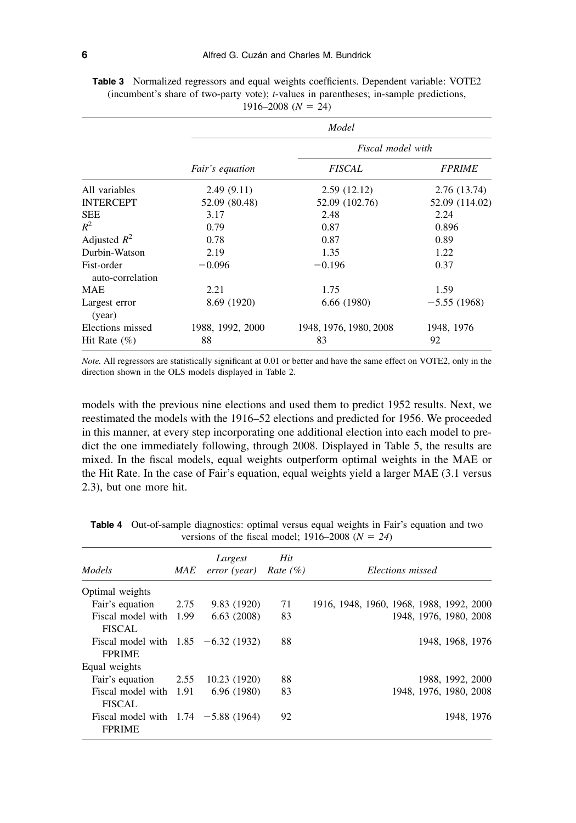|                                | Model            |                        |                |  |  |
|--------------------------------|------------------|------------------------|----------------|--|--|
|                                |                  | Fiscal model with      |                |  |  |
|                                | Fair's equation  | <i>FISCAL</i>          | <b>FPRIME</b>  |  |  |
| All variables                  | 2.49(9.11)       | 2.59(12.12)            | 2.76 (13.74)   |  |  |
| <b>INTERCEPT</b>               | 52.09 (80.48)    | 52.09 (102.76)         | 52.09 (114.02) |  |  |
| <b>SEE</b>                     | 3.17             | 2.48                   | 2.24           |  |  |
| $R^2$                          | 0.79             | 0.87                   | 0.896          |  |  |
| Adjusted $R^2$                 | 0.78             | 0.87                   | 0.89           |  |  |
| Durbin-Watson                  | 2.19             | 1.35                   | 1.22           |  |  |
| Fist-order<br>auto-correlation | $-0.096$         | $-0.196$               | 0.37           |  |  |
| <b>MAE</b>                     | 2.21             | 1.75                   | 1.59           |  |  |
| Largest error<br>(year)        | 8.69 (1920)      | 6.66(1980)             | $-5.55(1968)$  |  |  |
| Elections missed               | 1988, 1992, 2000 | 1948, 1976, 1980, 2008 | 1948, 1976     |  |  |
| Hit Rate $(\%)$                | 88               | 83                     | 92             |  |  |

Table 3 Normalized regressors and equal weights coefficients. Dependent variable: VOTE2 (incumbent's share of two-party vote); t-values in parentheses; in-sample predictions,  $1916 - 2008$  ( $N = 24$ )

Note. All regressors are statistically significant at 0.01 or better and have the same effect on VOTE2, only in the direction shown in the OLS models displayed in Table 2.

models with the previous nine elections and used them to predict 1952 results. Next, we reestimated the models with the 1916–52 elections and predicted for 1956. We proceeded in this manner, at every step incorporating one additional election into each model to predict the one immediately following, through 2008. Displayed in Table 5, the results are mixed. In the fiscal models, equal weights outperform optimal weights in the MAE or the Hit Rate. In the case of Fair's equation, equal weights yield a larger MAE (3.1 versus 2.3), but one more hit.

| Models                                 | MAE  | Largest<br>error (year) | Hit<br>Rate $(\%)$ | Elections missed                         |
|----------------------------------------|------|-------------------------|--------------------|------------------------------------------|
| Optimal weights                        |      |                         |                    |                                          |
| Fair's equation                        | 2.75 | 9.83 (1920)             | 71                 | 1916, 1948, 1960, 1968, 1988, 1992, 2000 |
| Fiscal model with 1.99                 |      | 6.63(2008)              | 83                 | 1948, 1976, 1980, 2008                   |
| <b>FISCAL</b>                          |      |                         |                    |                                          |
| Fiscal model with $1.85 -6.32$ (1932)  |      |                         | 88                 | 1948, 1968, 1976                         |
| <b>FPRIME</b>                          |      |                         |                    |                                          |
| Equal weights                          |      |                         |                    |                                          |
| Fair's equation 2.55                   |      | 10.23 (1920)            | 88                 | 1988, 1992, 2000                         |
| Fiscal model with 1.91                 |      | 6.96 (1980)             | 83                 | 1948, 1976, 1980, 2008                   |
| <b>FISCAL</b>                          |      |                         |                    |                                          |
| Fiscal model with $1.74 - 5.88$ (1964) |      |                         | 92                 | 1948, 1976                               |
| <b>FPRIME</b>                          |      |                         |                    |                                          |

Table 4 Out-of-sample diagnostics: optimal versus equal weights in Fair's equation and two versions of the fiscal model; 1916–2008 ( $N = 24$ )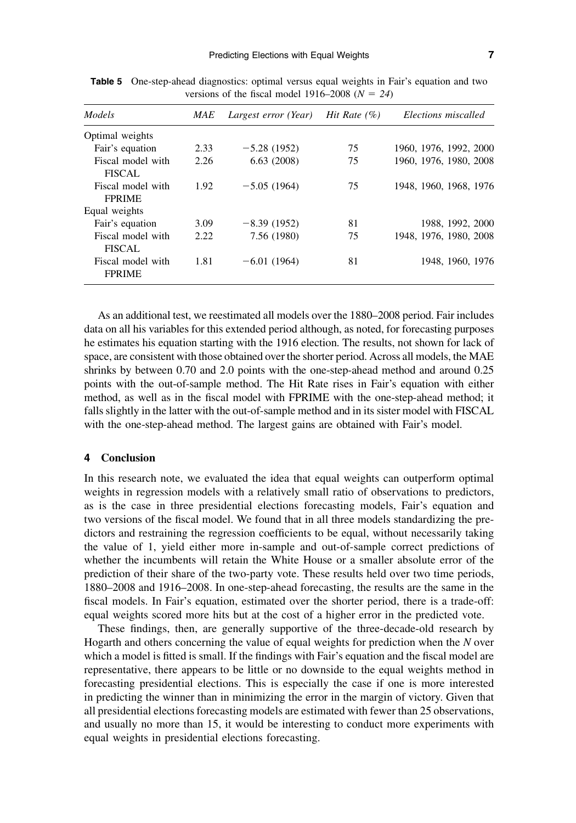| <b>Models</b>                      | <i>MAE</i> | Largest error (Year) | Hit Rate $(\% )$ | Elections miscalled    |
|------------------------------------|------------|----------------------|------------------|------------------------|
| Optimal weights                    |            |                      |                  |                        |
| Fair's equation                    | 2.33       | $-5.28(1952)$        | 75               | 1960, 1976, 1992, 2000 |
| Fiscal model with<br><b>FISCAL</b> | 2.26       | 6.63(2008)           | 75               | 1960, 1976, 1980, 2008 |
| Fiscal model with<br><b>FPRIME</b> | 1.92       | $-5.05(1964)$        | 75               | 1948, 1960, 1968, 1976 |
| Equal weights                      |            |                      |                  |                        |
| Fair's equation                    | 3.09       | $-8.39(1952)$        | 81               | 1988, 1992, 2000       |
| Fiscal model with<br><b>FISCAL</b> | 2.22       | 7.56 (1980)          | 75               | 1948, 1976, 1980, 2008 |
| Fiscal model with<br><b>FPRIME</b> | 1.81       | $-6.01(1964)$        | 81               | 1948, 1960, 1976       |

Table 5 One-step-ahead diagnostics: optimal versus equal weights in Fair's equation and two versions of the fiscal model 1916–2008 ( $N = 24$ )

As an additional test, we reestimated all models over the 1880–2008 period. Fair includes data on all his variables for this extended period although, as noted, for forecasting purposes he estimates his equation starting with the 1916 election. The results, not shown for lack of space, are consistent with those obtained over the shorter period. Across all models, the MAE shrinks by between 0.70 and 2.0 points with the one-step-ahead method and around 0.25 points with the out-of-sample method. The Hit Rate rises in Fair's equation with either method, as well as in the fiscal model with FPRIME with the one-step-ahead method; it falls slightly in the latter with the out-of-sample method and in its sister model with FISCAL with the one-step-ahead method. The largest gains are obtained with Fair's model.

#### 4 Conclusion

In this research note, we evaluated the idea that equal weights can outperform optimal weights in regression models with a relatively small ratio of observations to predictors, as is the case in three presidential elections forecasting models, Fair's equation and two versions of the fiscal model. We found that in all three models standardizing the predictors and restraining the regression coefficients to be equal, without necessarily taking the value of 1, yield either more in-sample and out-of-sample correct predictions of whether the incumbents will retain the White House or a smaller absolute error of the prediction of their share of the two-party vote. These results held over two time periods, 1880–2008 and 1916–2008. In one-step-ahead forecasting, the results are the same in the fiscal models. In Fair's equation, estimated over the shorter period, there is a trade-off: equal weights scored more hits but at the cost of a higher error in the predicted vote.

These findings, then, are generally supportive of the three-decade-old research by Hogarth and others concerning the value of equal weights for prediction when the N over which a model is fitted is small. If the findings with Fair's equation and the fiscal model are representative, there appears to be little or no downside to the equal weights method in forecasting presidential elections. This is especially the case if one is more interested in predicting the winner than in minimizing the error in the margin of victory. Given that all presidential elections forecasting models are estimated with fewer than 25 observations, and usually no more than 15, it would be interesting to conduct more experiments with equal weights in presidential elections forecasting.